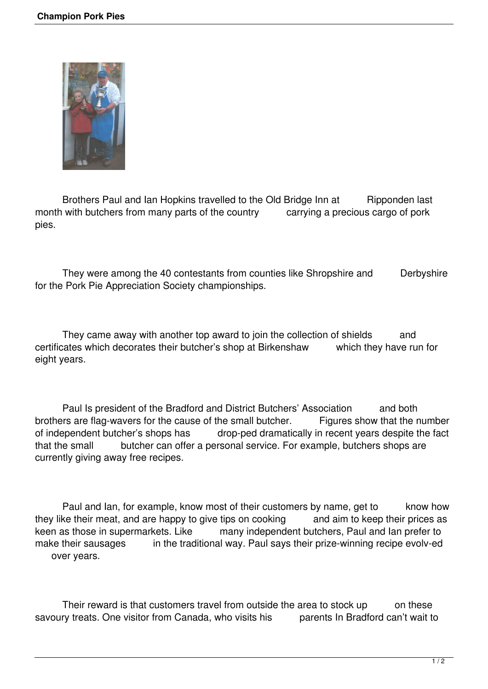

Brothers Paul and Ian Hopkins travelled to the Old Bridge Inn at Ripponden last<br>with butchers from many parts of the country carrying a precious cargo of pork month with butchers from many parts of the country pies.

They were among the 40 contestants from counties like Shropshire and Derbyshire for the Pork Pie Appreciation Society championships.

They came away with another top award to join the collection of shields and certificates which decorates their butcher's shop at Birkenshaw which they have run for eight years.

 Paul Is president of the Bradford and District Butchers' Association and both brothers are flag-wavers for the cause of the small butcher. Figures show that the number<br>of independent butcher's shops has drop-ped dramatically in recent years despite the fact of independent butcher's shops has drop-ped dramatically in recent years despite the fact<br>that the small butcher can offer a personal service. For example, butchers shops are butcher can offer a personal service. For example, butchers shops are currently giving away free recipes.

Paul and Ian, for example, know most of their customers by name, get to know how<br>ke their meat, and are happy to give tips on cooking and aim to keep their prices as they like their meat, and are happy to give tips on cooking keen as those in supermarkets. Like many independent butchers, Paul and Ian prefer to make their sausages in the traditional way. Paul says their prize-winning recipe evolv-ed over years.

Their reward is that customers travel from outside the area to stock up on these savoury treats. One visitor from Canada, who visits his parents In Bradford can't wait to